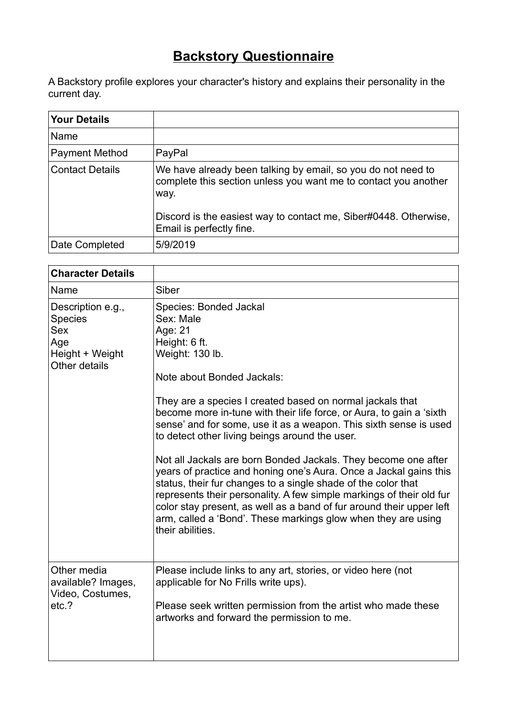## **Backstory Questionnaire**

A Backstory profile explores your character's history and explains their personality in the current day.

| <b>Your Details</b>    |                                                                                                                                                                                                                                         |
|------------------------|-----------------------------------------------------------------------------------------------------------------------------------------------------------------------------------------------------------------------------------------|
| Name                   |                                                                                                                                                                                                                                         |
| <b>Payment Method</b>  | PayPal                                                                                                                                                                                                                                  |
| <b>Contact Details</b> | We have already been talking by email, so you do not need to<br>complete this section unless you want me to contact you another<br>way.<br>Discord is the easiest way to contact me, Siber#0448. Otherwise,<br>Email is perfectly fine. |
| Date Completed         | 5/9/2019                                                                                                                                                                                                                                |

| <b>Character Details</b>                                                                     |                                                                                                                                                                                                                                                                                                                                                                                                                                                                                                                                                                                                                                                                                                                                                                                                                                  |
|----------------------------------------------------------------------------------------------|----------------------------------------------------------------------------------------------------------------------------------------------------------------------------------------------------------------------------------------------------------------------------------------------------------------------------------------------------------------------------------------------------------------------------------------------------------------------------------------------------------------------------------------------------------------------------------------------------------------------------------------------------------------------------------------------------------------------------------------------------------------------------------------------------------------------------------|
| Name                                                                                         | Siber                                                                                                                                                                                                                                                                                                                                                                                                                                                                                                                                                                                                                                                                                                                                                                                                                            |
| Description e.g.,<br><b>Species</b><br><b>Sex</b><br>Age<br>Height + Weight<br>Other details | <b>Species: Bonded Jackal</b><br>Sex: Male<br>Age: 21<br>Height: 6 ft.<br>Weight: 130 lb.<br>Note about Bonded Jackals:<br>They are a species I created based on normal jackals that<br>become more in-tune with their life force, or Aura, to gain a 'sixth<br>sense' and for some, use it as a weapon. This sixth sense is used<br>to detect other living beings around the user.<br>Not all Jackals are born Bonded Jackals. They become one after<br>years of practice and honing one's Aura. Once a Jackal gains this<br>status, their fur changes to a single shade of the color that<br>represents their personality. A few simple markings of their old fur<br>color stay present, as well as a band of fur around their upper left<br>arm, called a 'Bond'. These markings glow when they are using<br>their abilities. |
| Other media<br>available? Images,<br>Video, Costumes,<br>etc.?                               | Please include links to any art, stories, or video here (not<br>applicable for No Frills write ups).<br>Please seek written permission from the artist who made these<br>artworks and forward the permission to me.                                                                                                                                                                                                                                                                                                                                                                                                                                                                                                                                                                                                              |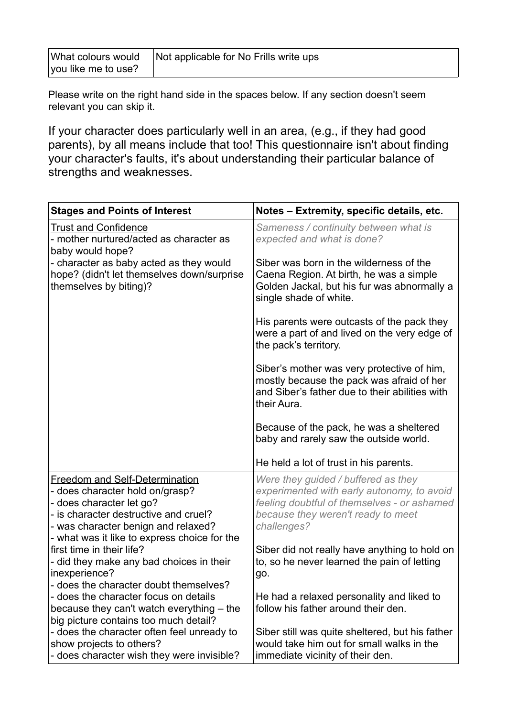| What colours would  | Not applicable for No Frills write ups |
|---------------------|----------------------------------------|
| you like me to use? |                                        |

Please write on the right hand side in the spaces below. If any section doesn't seem relevant you can skip it.

If your character does particularly well in an area, (e.g., if they had good parents), by all means include that too! This questionnaire isn't about finding your character's faults, it's about understanding their particular balance of strengths and weaknesses.

| <b>Stages and Points of Interest</b>                                                                                                                                                 | Notes - Extremity, specific details, etc.                                                                                                                                             |
|--------------------------------------------------------------------------------------------------------------------------------------------------------------------------------------|---------------------------------------------------------------------------------------------------------------------------------------------------------------------------------------|
| <b>Trust and Confidence</b><br>- mother nurtured/acted as character as<br>baby would hope?                                                                                           | Sameness / continuity between what is<br>expected and what is done?                                                                                                                   |
| - character as baby acted as they would<br>hope? (didn't let themselves down/surprise<br>themselves by biting)?                                                                      | Siber was born in the wilderness of the<br>Caena Region. At birth, he was a simple<br>Golden Jackal, but his fur was abnormally a<br>single shade of white.                           |
|                                                                                                                                                                                      | His parents were outcasts of the pack they<br>were a part of and lived on the very edge of<br>the pack's territory.                                                                   |
|                                                                                                                                                                                      | Siber's mother was very protective of him,<br>mostly because the pack was afraid of her<br>and Siber's father due to their abilities with<br>their Aura.                              |
|                                                                                                                                                                                      | Because of the pack, he was a sheltered<br>baby and rarely saw the outside world.                                                                                                     |
|                                                                                                                                                                                      | He held a lot of trust in his parents.                                                                                                                                                |
| <b>Freedom and Self-Determination</b><br>- does character hold on/grasp?<br>- does character let go?<br>- is character destructive and cruel?<br>- was character benign and relaxed? | Were they guided / buffered as they<br>experimented with early autonomy, to avoid<br>feeling doubtful of themselves - or ashamed<br>because they weren't ready to meet<br>challenges? |
| - what was it like to express choice for the<br>first time in their life?<br>- did they make any bad choices in their<br>inexperience?<br>- does the character doubt themselves?     | Siber did not really have anything to hold on<br>to, so he never learned the pain of letting<br>go.                                                                                   |
| - does the character focus on details<br>because they can't watch everything – the<br>big picture contains too much detail?                                                          | He had a relaxed personality and liked to<br>follow his father around their den.                                                                                                      |
| - does the character often feel unready to<br>show projects to others?<br>- does character wish they were invisible?                                                                 | Siber still was quite sheltered, but his father<br>would take him out for small walks in the<br>immediate vicinity of their den.                                                      |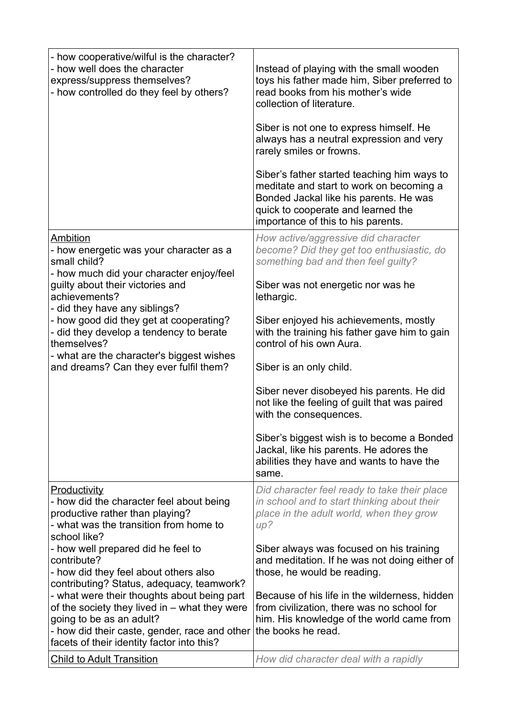| - how cooperative/wilful is the character?<br>- how well does the character<br>express/suppress themselves?<br>- how controlled do they feel by others?                                                                                                                                                                                                                                                | Instead of playing with the small wooden<br>toys his father made him, Siber preferred to<br>read books from his mother's wide<br>collection of literature.<br>Siber is not one to express himself. He<br>always has a neutral expression and very<br>rarely smiles or frowns.<br>Siber's father started teaching him ways to<br>meditate and start to work on becoming a<br>Bonded Jackal like his parents. He was<br>quick to cooperate and learned the<br>importance of this to his parents.                                                                                                       |
|--------------------------------------------------------------------------------------------------------------------------------------------------------------------------------------------------------------------------------------------------------------------------------------------------------------------------------------------------------------------------------------------------------|------------------------------------------------------------------------------------------------------------------------------------------------------------------------------------------------------------------------------------------------------------------------------------------------------------------------------------------------------------------------------------------------------------------------------------------------------------------------------------------------------------------------------------------------------------------------------------------------------|
| Ambition<br>- how energetic was your character as a<br>small child?<br>- how much did your character enjoy/feel<br>guilty about their victories and<br>achievements?<br>- did they have any siblings?<br>- how good did they get at cooperating?<br>- did they develop a tendency to berate<br>themselves?<br>- what are the character's biggest wishes<br>and dreams? Can they ever fulfil them?      | How active/aggressive did character<br>become? Did they get too enthusiastic, do<br>something bad and then feel guilty?<br>Siber was not energetic nor was he<br>lethargic.<br>Siber enjoyed his achievements, mostly<br>with the training his father gave him to gain<br>control of his own Aura.<br>Siber is an only child.<br>Siber never disobeyed his parents. He did<br>not like the feeling of guilt that was paired<br>with the consequences.<br>Siber's biggest wish is to become a Bonded<br>Jackal, like his parents. He adores the<br>abilities they have and wants to have the<br>same. |
| Productivity<br>- how did the character feel about being<br>productive rather than playing?<br>- what was the transition from home to<br>school like?                                                                                                                                                                                                                                                  | Did character feel ready to take their place<br>in school and to start thinking about their<br>place in the adult world, when they grow<br>up?                                                                                                                                                                                                                                                                                                                                                                                                                                                       |
| - how well prepared did he feel to<br>contribute?<br>- how did they feel about others also<br>contributing? Status, adequacy, teamwork?<br>- what were their thoughts about being part<br>of the society they lived in - what they were<br>going to be as an adult?<br>- how did their caste, gender, race and other<br>facets of their identity factor into this?<br><b>Child to Adult Transition</b> | Siber always was focused on his training<br>and meditation. If he was not doing either of<br>those, he would be reading.<br>Because of his life in the wilderness, hidden<br>from civilization, there was no school for<br>him. His knowledge of the world came from<br>the books he read.<br>How did character deal with a rapidly                                                                                                                                                                                                                                                                  |
|                                                                                                                                                                                                                                                                                                                                                                                                        |                                                                                                                                                                                                                                                                                                                                                                                                                                                                                                                                                                                                      |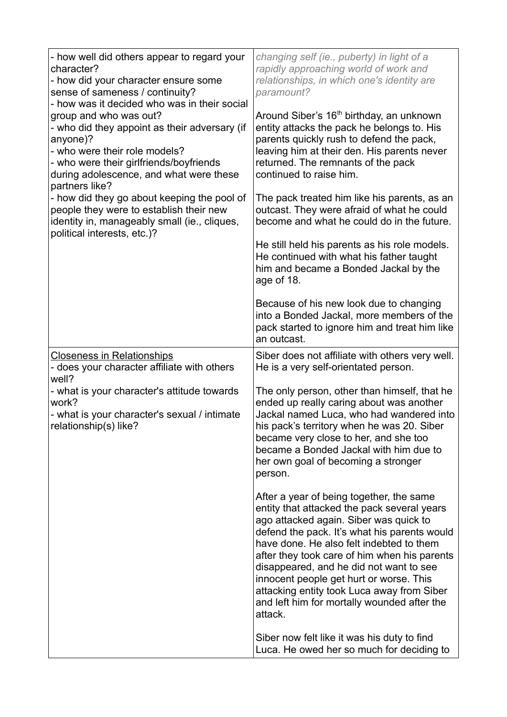| - how well did others appear to regard your<br>character?<br>- how did your character ensure some<br>sense of sameness / continuity?<br>- how was it decided who was in their social<br>group and who was out?<br>- who did they appoint as their adversary (if<br>anyone)?<br>- who were their role models?<br>- who were their girlfriends/boyfriends<br>during adolescence, and what were these<br>partners like?<br>- how did they go about keeping the pool of<br>people they were to establish their new<br>identity in, manageably small (ie., cliques,<br>political interests, etc.)? | changing self (ie., puberty) in light of a<br>rapidly approaching world of work and<br>relationships, in which one's identity are<br>paramount?<br>Around Siber's 16 <sup>th</sup> birthday, an unknown<br>entity attacks the pack he belongs to. His<br>parents quickly rush to defend the pack,<br>leaving him at their den. His parents never<br>returned. The remnants of the pack<br>continued to raise him.<br>The pack treated him like his parents, as an<br>outcast. They were afraid of what he could<br>become and what he could do in the future.<br>He still held his parents as his role models.<br>He continued with what his father taught<br>him and became a Bonded Jackal by the<br>age of 18.<br>Because of his new look due to changing<br>into a Bonded Jackal, more members of the<br>pack started to ignore him and treat him like |
|-----------------------------------------------------------------------------------------------------------------------------------------------------------------------------------------------------------------------------------------------------------------------------------------------------------------------------------------------------------------------------------------------------------------------------------------------------------------------------------------------------------------------------------------------------------------------------------------------|------------------------------------------------------------------------------------------------------------------------------------------------------------------------------------------------------------------------------------------------------------------------------------------------------------------------------------------------------------------------------------------------------------------------------------------------------------------------------------------------------------------------------------------------------------------------------------------------------------------------------------------------------------------------------------------------------------------------------------------------------------------------------------------------------------------------------------------------------------|
| <b>Closeness in Relationships</b><br>- does your character affiliate with others                                                                                                                                                                                                                                                                                                                                                                                                                                                                                                              | an outcast.<br>Siber does not affiliate with others very well.<br>He is a very self-orientated person.                                                                                                                                                                                                                                                                                                                                                                                                                                                                                                                                                                                                                                                                                                                                                     |
| well?<br>- what is your character's attitude towards<br>work?<br>- what is your character's sexual / intimate<br>relationship(s) like?                                                                                                                                                                                                                                                                                                                                                                                                                                                        | The only person, other than himself, that he<br>ended up really caring about was another<br>Jackal named Luca, who had wandered into<br>his pack's territory when he was 20. Siber<br>became very close to her, and she too<br>became a Bonded Jackal with him due to<br>her own goal of becoming a stronger<br>person.                                                                                                                                                                                                                                                                                                                                                                                                                                                                                                                                    |
|                                                                                                                                                                                                                                                                                                                                                                                                                                                                                                                                                                                               | After a year of being together, the same<br>entity that attacked the pack several years<br>ago attacked again. Siber was quick to<br>defend the pack. It's what his parents would<br>have done. He also felt indebted to them<br>after they took care of him when his parents<br>disappeared, and he did not want to see<br>innocent people get hurt or worse. This<br>attacking entity took Luca away from Siber<br>and left him for mortally wounded after the<br>attack.                                                                                                                                                                                                                                                                                                                                                                                |
|                                                                                                                                                                                                                                                                                                                                                                                                                                                                                                                                                                                               | Siber now felt like it was his duty to find<br>Luca. He owed her so much for deciding to                                                                                                                                                                                                                                                                                                                                                                                                                                                                                                                                                                                                                                                                                                                                                                   |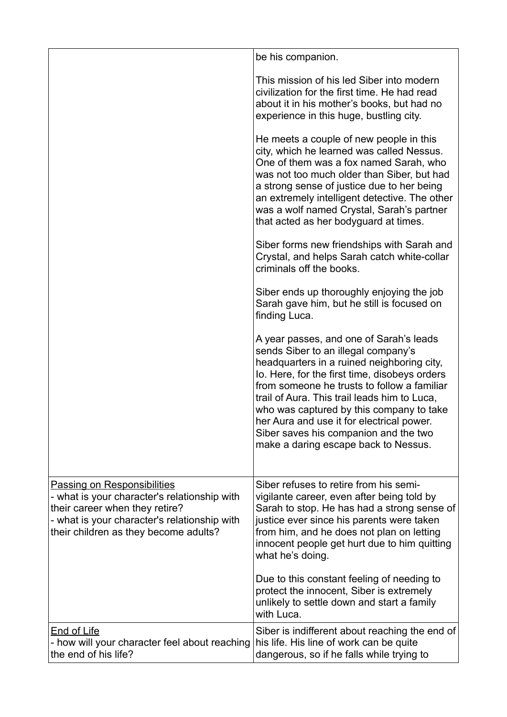|                                                                                                                                                                                                               | be his companion.                                                                                                                                                                                                                                                                                                                                                                                                                                      |
|---------------------------------------------------------------------------------------------------------------------------------------------------------------------------------------------------------------|--------------------------------------------------------------------------------------------------------------------------------------------------------------------------------------------------------------------------------------------------------------------------------------------------------------------------------------------------------------------------------------------------------------------------------------------------------|
|                                                                                                                                                                                                               | This mission of his led Siber into modern<br>civilization for the first time. He had read<br>about it in his mother's books, but had no<br>experience in this huge, bustling city.                                                                                                                                                                                                                                                                     |
|                                                                                                                                                                                                               | He meets a couple of new people in this<br>city, which he learned was called Nessus.<br>One of them was a fox named Sarah, who<br>was not too much older than Siber, but had<br>a strong sense of justice due to her being<br>an extremely intelligent detective. The other<br>was a wolf named Crystal, Sarah's partner<br>that acted as her bodyguard at times.                                                                                      |
|                                                                                                                                                                                                               | Siber forms new friendships with Sarah and<br>Crystal, and helps Sarah catch white-collar<br>criminals off the books.                                                                                                                                                                                                                                                                                                                                  |
|                                                                                                                                                                                                               | Siber ends up thoroughly enjoying the job<br>Sarah gave him, but he still is focused on<br>finding Luca.                                                                                                                                                                                                                                                                                                                                               |
|                                                                                                                                                                                                               | A year passes, and one of Sarah's leads<br>sends Siber to an illegal company's<br>headquarters in a ruined neighboring city,<br>Io. Here, for the first time, disobeys orders<br>from someone he trusts to follow a familiar<br>trail of Aura. This trail leads him to Luca,<br>who was captured by this company to take<br>her Aura and use it for electrical power.<br>Siber saves his companion and the two<br>make a daring escape back to Nessus. |
| <b>Passing on Responsibilities</b><br>- what is your character's relationship with<br>their career when they retire?<br>- what is your character's relationship with<br>their children as they become adults? | Siber refuses to retire from his semi-<br>vigilante career, even after being told by<br>Sarah to stop. He has had a strong sense of<br>justice ever since his parents were taken<br>from him, and he does not plan on letting<br>innocent people get hurt due to him quitting<br>what he's doing.                                                                                                                                                      |
|                                                                                                                                                                                                               | Due to this constant feeling of needing to<br>protect the innocent, Siber is extremely<br>unlikely to settle down and start a family<br>with Luca.                                                                                                                                                                                                                                                                                                     |
| <b>End of Life</b><br>- how will your character feel about reaching<br>the end of his life?                                                                                                                   | Siber is indifferent about reaching the end of<br>his life. His line of work can be quite<br>dangerous, so if he falls while trying to                                                                                                                                                                                                                                                                                                                 |